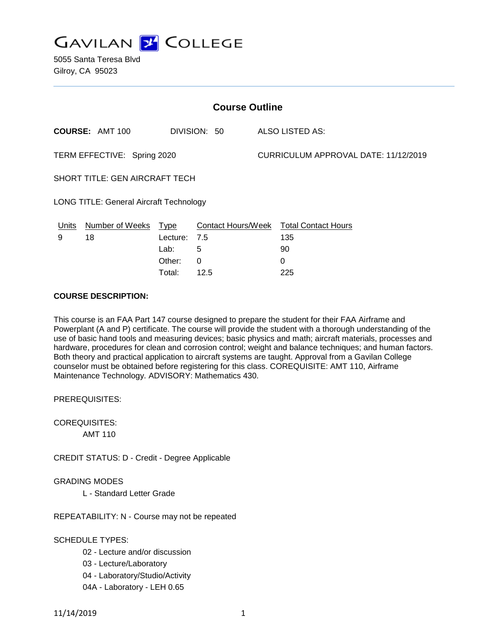

5055 Santa Teresa Blvd Gilroy, CA 95023

| <b>Course Outline</b>                          |                        |             |                           |  |                                      |  |
|------------------------------------------------|------------------------|-------------|---------------------------|--|--------------------------------------|--|
|                                                | <b>COURSE: AMT 100</b> |             | DIVISION: 50              |  | ALSO LISTED AS:                      |  |
| TERM EFFECTIVE: Spring 2020                    |                        |             |                           |  | CURRICULUM APPROVAL DATE: 11/12/2019 |  |
| <b>SHORT TITLE: GEN AIRCRAFT TECH</b>          |                        |             |                           |  |                                      |  |
| <b>LONG TITLE: General Aircraft Technology</b> |                        |             |                           |  |                                      |  |
| Units                                          | Number of Weeks        | <u>Type</u> | <b>Contact Hours/Week</b> |  | <b>Total Contact Hours</b>           |  |
| 9                                              | 18                     | Lecture:    | 7.5                       |  | 135                                  |  |
|                                                |                        | Lab:        | 5                         |  | 90                                   |  |
|                                                |                        | Other:      | 0                         |  | 0                                    |  |

Total: 12.5 225

## **COURSE DESCRIPTION:**

This course is an FAA Part 147 course designed to prepare the student for their FAA Airframe and Powerplant (A and P) certificate. The course will provide the student with a thorough understanding of the use of basic hand tools and measuring devices; basic physics and math; aircraft materials, processes and hardware, procedures for clean and corrosion control; weight and balance techniques; and human factors. Both theory and practical application to aircraft systems are taught. Approval from a Gavilan College counselor must be obtained before registering for this class. COREQUISITE: AMT 110, Airframe Maintenance Technology. ADVISORY: Mathematics 430.

PREREQUISITES:

COREQUISITES:

AMT 110

CREDIT STATUS: D - Credit - Degree Applicable

GRADING MODES

L - Standard Letter Grade

REPEATABILITY: N - Course may not be repeated

### SCHEDULE TYPES:

- 02 Lecture and/or discussion
- 03 Lecture/Laboratory
- 04 Laboratory/Studio/Activity
- 04A Laboratory LEH 0.65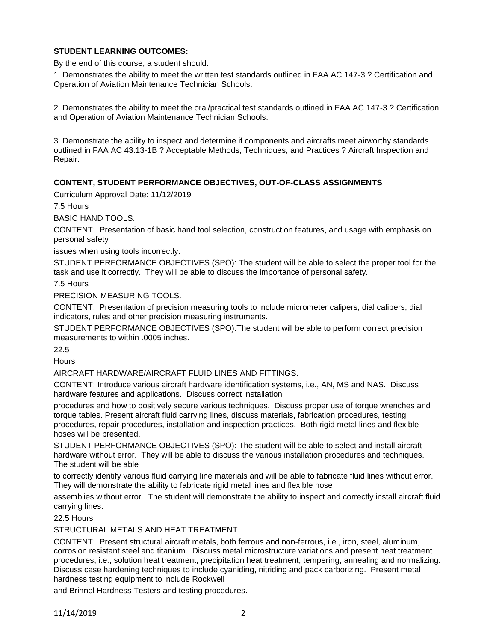# **STUDENT LEARNING OUTCOMES:**

By the end of this course, a student should:

1. Demonstrates the ability to meet the written test standards outlined in FAA AC 147-3 ? Certification and Operation of Aviation Maintenance Technician Schools.

2. Demonstrates the ability to meet the oral/practical test standards outlined in FAA AC 147-3 ? Certification and Operation of Aviation Maintenance Technician Schools.

3. Demonstrate the ability to inspect and determine if components and aircrafts meet airworthy standards outlined in FAA AC 43.13-1B ? Acceptable Methods, Techniques, and Practices ? Aircraft Inspection and Repair.

# **CONTENT, STUDENT PERFORMANCE OBJECTIVES, OUT-OF-CLASS ASSIGNMENTS**

Curriculum Approval Date: 11/12/2019

7.5 Hours

BASIC HAND TOOLS.

CONTENT: Presentation of basic hand tool selection, construction features, and usage with emphasis on personal safety

issues when using tools incorrectly.

STUDENT PERFORMANCE OBJECTIVES (SPO): The student will be able to select the proper tool for the task and use it correctly. They will be able to discuss the importance of personal safety.

7.5 Hours

PRECISION MEASURING TOOLS.

CONTENT: Presentation of precision measuring tools to include micrometer calipers, dial calipers, dial indicators, rules and other precision measuring instruments.

STUDENT PERFORMANCE OBJECTIVES (SPO):The student will be able to perform correct precision measurements to within .0005 inches.

22.5

**Hours** 

AIRCRAFT HARDWARE/AIRCRAFT FLUID LINES AND FITTINGS.

CONTENT: Introduce various aircraft hardware identification systems, i.e., AN, MS and NAS. Discuss hardware features and applications. Discuss correct installation

procedures and how to positively secure various techniques. Discuss proper use of torque wrenches and torque tables. Present aircraft fluid carrying lines, discuss materials, fabrication procedures, testing procedures, repair procedures, installation and inspection practices. Both rigid metal lines and flexible hoses will be presented.

STUDENT PERFORMANCE OBJECTIVES (SPO): The student will be able to select and install aircraft hardware without error. They will be able to discuss the various installation procedures and techniques. The student will be able

to correctly identify various fluid carrying line materials and will be able to fabricate fluid lines without error. They will demonstrate the ability to fabricate rigid metal lines and flexible hose

assemblies without error. The student will demonstrate the ability to inspect and correctly install aircraft fluid carrying lines.

22.5 Hours

STRUCTURAL METALS AND HEAT TREATMENT.

CONTENT: Present structural aircraft metals, both ferrous and non-ferrous, i.e., iron, steel, aluminum, corrosion resistant steel and titanium. Discuss metal microstructure variations and present heat treatment procedures, i.e., solution heat treatment, precipitation heat treatment, tempering, annealing and normalizing. Discuss case hardening techniques to include cyaniding, nitriding and pack carborizing. Present metal hardness testing equipment to include Rockwell

and Brinnel Hardness Testers and testing procedures.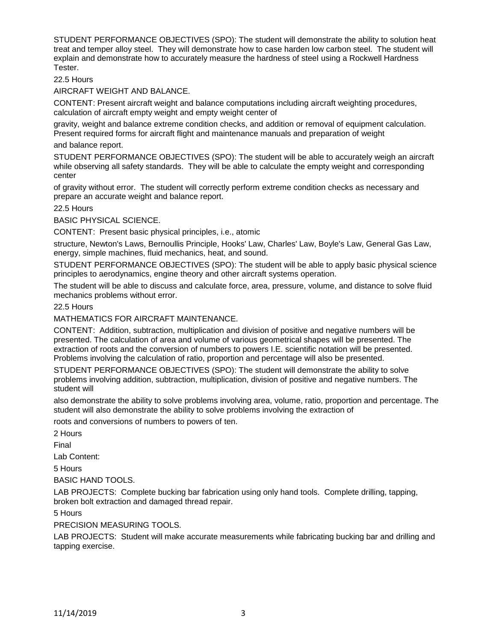STUDENT PERFORMANCE OBJECTIVES (SPO): The student will demonstrate the ability to solution heat treat and temper alloy steel. They will demonstrate how to case harden low carbon steel. The student will explain and demonstrate how to accurately measure the hardness of steel using a Rockwell Hardness Tester.

22.5 Hours

AIRCRAFT WEIGHT AND BALANCE.

CONTENT: Present aircraft weight and balance computations including aircraft weighting procedures, calculation of aircraft empty weight and empty weight center of

gravity, weight and balance extreme condition checks, and addition or removal of equipment calculation. Present required forms for aircraft flight and maintenance manuals and preparation of weight

#### and balance report.

STUDENT PERFORMANCE OBJECTIVES (SPO): The student will be able to accurately weigh an aircraft while observing all safety standards. They will be able to calculate the empty weight and corresponding center

of gravity without error. The student will correctly perform extreme condition checks as necessary and prepare an accurate weight and balance report.

22.5 Hours

BASIC PHYSICAL SCIENCE.

CONTENT: Present basic physical principles, i.e., atomic

structure, Newton's Laws, Bernoullis Principle, Hooks' Law, Charles' Law, Boyle's Law, General Gas Law, energy, simple machines, fluid mechanics, heat, and sound.

STUDENT PERFORMANCE OBJECTIVES (SPO): The student will be able to apply basic physical science principles to aerodynamics, engine theory and other aircraft systems operation.

The student will be able to discuss and calculate force, area, pressure, volume, and distance to solve fluid mechanics problems without error.

### 22.5 Hours

MATHEMATICS FOR AIRCRAFT MAINTENANCE.

CONTENT: Addition, subtraction, multiplication and division of positive and negative numbers will be presented. The calculation of area and volume of various geometrical shapes will be presented. The extraction of roots and the conversion of numbers to powers I.E. scientific notation will be presented. Problems involving the calculation of ratio, proportion and percentage will also be presented.

STUDENT PERFORMANCE OBJECTIVES (SPO): The student will demonstrate the ability to solve problems involving addition, subtraction, multiplication, division of positive and negative numbers. The student will

also demonstrate the ability to solve problems involving area, volume, ratio, proportion and percentage. The student will also demonstrate the ability to solve problems involving the extraction of

roots and conversions of numbers to powers of ten.

2 Hours

Final

Lab Content:

5 Hours

BASIC HAND TOOLS.

LAB PROJECTS: Complete bucking bar fabrication using only hand tools. Complete drilling, tapping, broken bolt extraction and damaged thread repair.

5 Hours

PRECISION MEASURING TOOLS.

LAB PROJECTS: Student will make accurate measurements while fabricating bucking bar and drilling and tapping exercise.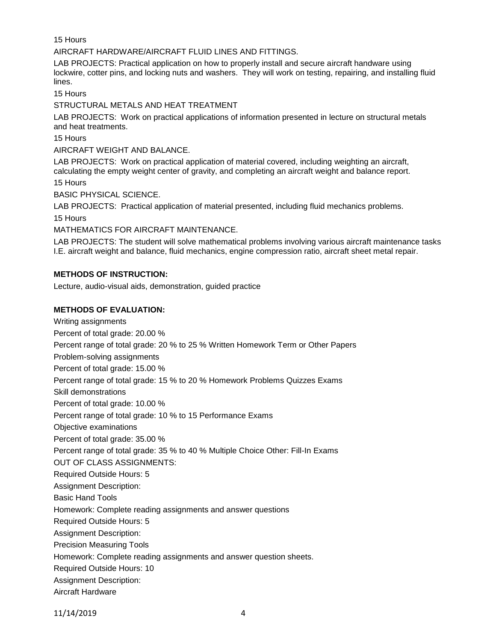15 Hours

AIRCRAFT HARDWARE/AIRCRAFT FLUID LINES AND FITTINGS.

LAB PROJECTS: Practical application on how to properly install and secure aircraft handware using lockwire, cotter pins, and locking nuts and washers. They will work on testing, repairing, and installing fluid lines.

15 Hours

STRUCTURAL METALS AND HEAT TREATMENT

LAB PROJECTS: Work on practical applications of information presented in lecture on structural metals and heat treatments.

15 Hours

AIRCRAFT WEIGHT AND BALANCE.

LAB PROJECTS: Work on practical application of material covered, including weighting an aircraft, calculating the empty weight center of gravity, and completing an aircraft weight and balance report.

15 Hours

BASIC PHYSICAL SCIENCE.

LAB PROJECTS: Practical application of material presented, including fluid mechanics problems. 15 Hours

MATHEMATICS FOR AIRCRAFT MAINTENANCE.

LAB PROJECTS: The student will solve mathematical problems involving various aircraft maintenance tasks I.E. aircraft weight and balance, fluid mechanics, engine compression ratio, aircraft sheet metal repair.

### **METHODS OF INSTRUCTION:**

Lecture, audio-visual aids, demonstration, guided practice

### **METHODS OF EVALUATION:**

Writing assignments Percent of total grade: 20.00 % Percent range of total grade: 20 % to 25 % Written Homework Term or Other Papers Problem-solving assignments Percent of total grade: 15.00 % Percent range of total grade: 15 % to 20 % Homework Problems Quizzes Exams Skill demonstrations Percent of total grade: 10.00 % Percent range of total grade: 10 % to 15 Performance Exams Objective examinations Percent of total grade: 35.00 % Percent range of total grade: 35 % to 40 % Multiple Choice Other: Fill-In Exams OUT OF CLASS ASSIGNMENTS: Required Outside Hours: 5 Assignment Description: Basic Hand Tools Homework: Complete reading assignments and answer questions Required Outside Hours: 5 Assignment Description: Precision Measuring Tools Homework: Complete reading assignments and answer question sheets. Required Outside Hours: 10 Assignment Description: Aircraft Hardware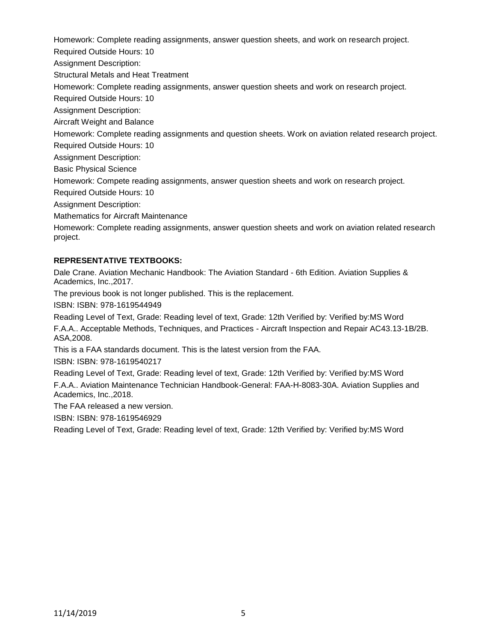Homework: Complete reading assignments, answer question sheets, and work on research project.

Required Outside Hours: 10

Assignment Description:

Structural Metals and Heat Treatment

Homework: Complete reading assignments, answer question sheets and work on research project.

Required Outside Hours: 10

Assignment Description:

Aircraft Weight and Balance

Homework: Complete reading assignments and question sheets. Work on aviation related research project.

Required Outside Hours: 10

Assignment Description:

Basic Physical Science

Homework: Compete reading assignments, answer question sheets and work on research project.

Required Outside Hours: 10

Assignment Description:

Mathematics for Aircraft Maintenance

Homework: Complete reading assignments, answer question sheets and work on aviation related research project.

# **REPRESENTATIVE TEXTBOOKS:**

Dale Crane. Aviation Mechanic Handbook: The Aviation Standard - 6th Edition. Aviation Supplies & Academics, Inc.,2017.

The previous book is not longer published. This is the replacement.

ISBN: ISBN: 978-1619544949

Reading Level of Text, Grade: Reading level of text, Grade: 12th Verified by: Verified by:MS Word F.A.A.. Acceptable Methods, Techniques, and Practices - Aircraft Inspection and Repair AC43.13-1B/2B. ASA,2008.

This is a FAA standards document. This is the latest version from the FAA.

ISBN: ISBN: 978-1619540217

Reading Level of Text, Grade: Reading level of text, Grade: 12th Verified by: Verified by:MS Word F.A.A.. Aviation Maintenance Technician Handbook-General: FAA-H-8083-30A. Aviation Supplies and Academics, Inc.,2018.

The FAA released a new version.

ISBN: ISBN: 978-1619546929

Reading Level of Text, Grade: Reading level of text, Grade: 12th Verified by: Verified by:MS Word